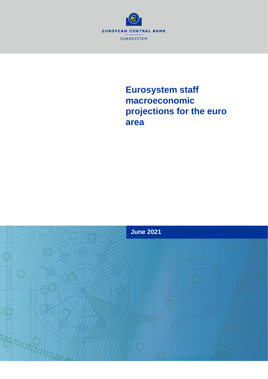

# **Eurosystem staff macroeconomic projections for the euro area**

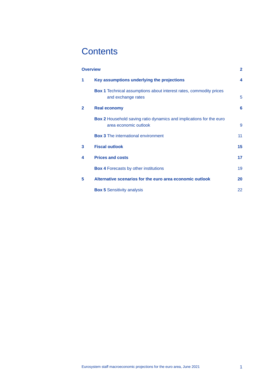# **Contents**

| <b>Overview</b> |                                                                                                     | $\overline{2}$   |
|-----------------|-----------------------------------------------------------------------------------------------------|------------------|
| 1               | Key assumptions underlying the projections                                                          | $\boldsymbol{4}$ |
|                 | <b>Box 1</b> Technical assumptions about interest rates, commodity prices<br>and exchange rates     | 5                |
| $\mathbf{2}$    | <b>Real economy</b>                                                                                 | 6                |
|                 | <b>Box 2</b> Household saving ratio dynamics and implications for the euro<br>area economic outlook | 9                |
|                 | <b>Box 3</b> The international environment                                                          | 11               |
| 3               | <b>Fiscal outlook</b>                                                                               | 15               |
| 4               | <b>Prices and costs</b>                                                                             | 17               |
|                 | <b>Box 4 Forecasts by other institutions</b>                                                        | 19               |
| 5               | Alternative scenarios for the euro area economic outlook                                            | 20               |
|                 | <b>Box 5 Sensitivity analysis</b>                                                                   | 22               |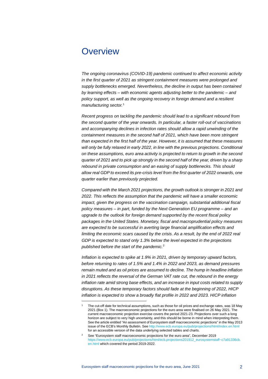## <span id="page-2-0"></span>**Overview**

*The ongoing coronavirus (COVID-19) pandemic continued to affect economic activity in the first quarter of 2021 as stringent containment measures were prolonged and supply bottlenecks emerged. Nevertheless, the decline in output has been contained by learning effects – with economic agents adjusting better to the pandemic – and policy support, as well as the ongoing recovery in foreign demand and a resilient manufacturing sector.* [1](#page-2-1)

*Recent progress on tackling the pandemic should lead to a significant rebound from the second quarter of the year onwards. In particular, a faster roll-out of vaccinations and accompanying declines in infection rates should allow a rapid unwinding of the containment measures in the second half of 2021, which have been more stringent than expected in the first half of the year. However, it is assumed that these measures will only be fully relaxed in early 2022, in line with the previous projections. Conditional on these assumptions, euro area activity is projected to return to growth in the second quarter of 2021 and to pick up strongly in the second half of the year, driven by a sharp rebound in private consumption and an easing of supply bottlenecks. This should allow real GDP to exceed its pre-crisis level from the first quarter of 2022 onwards, one quarter earlier than previously projected.*

Compared with the March 2021 projections, the growth outlook is stronger in 2021 and *2022. This reflects the assumption that the pandemic will have a smaller economic impact, given the progress on the vaccination campaign, substantial additional fiscal policy measures – in part, funded by the Next Generation EU programme – and an upgrade to the outlook for foreign demand supported by the recent fiscal policy packages in the United States. Monetary, fiscal and macroprudential policy measures are expected to be successful in averting large financial amplification effects and limiting the economic scars caused by the crisis. As a result, by the end of 2022 real GDP is expected to stand only 1.3% below the level expected in the projections published before the start of the pandemic.*[2](#page-2-2)

*Inflation is expected to spike at 1.9% in 2021, driven by temporary upward factors, before returning to rates of 1.5% and 1.4% in 2022 and 2023, as demand pressures remain muted and as oil prices are assumed to decline. The hump in headline inflation in 2021 reflects the reversal of the German VAT rate cut, the rebound in the energy inflation rate amid strong base effects, and an increase in input costs related to supply disruptions. As these temporary factors should fade at the beginning of 2022, HICP inflation is expected to show a broadly flat profile in 2022 and 2023. HICP inflation* 

<span id="page-2-1"></span>The cut-off date for technical assumptions, such as those for oil prices and exchange rates, was 18 May 2021 (Box 1). The macroeconomic projections for the euro area were finalised on 26 May 2021. The current macroeconomic projection exercise covers the period 2021-23. Projections over such a long horizon are subject to very high uncertainty, and this should be borne in mind when interpreting them. See the article entitled "An assessment of Eurosystem staff macroeconomic projections" in the May 2013 issue of the ECB's Monthly Bulletin. Se[e http://www.ecb.europa.eu/pub/projections/html/index.en.html](http://www.ecb.europa.eu/pub/projections/html/index.en.html) for an accessible version of the data underlying selected tables and charts.

<span id="page-2-2"></span><sup>2</sup> See "Eurosystem staff macroeconomic projections for the euro area", December 2019 [https://www.ecb.europa.eu/pub/projections/html/ecb.projections201912\\_eurosystemstaff~c7a91336cb.](https://www.ecb.europa.eu/pub/projections/html/ecb.projections201912_eurosystemstaff%7Ec7a91336cb.en.html) [en.html](https://www.ecb.europa.eu/pub/projections/html/ecb.projections201912_eurosystemstaff%7Ec7a91336cb.en.html) which covered the period 2019-2022.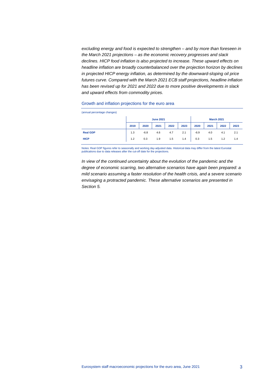*excluding energy and food is expected to strengthen – and by more than foreseen in the March 2021 projections – as the economic recovery progresses and slack declines. HICP food inflation is also projected to increase. These upward effects on headline inflation are broadly counterbalanced over the projection horizon by declines in projected HICP energy inflation, as determined by the downward-sloping oil price futures curve. Compared with the March 2021 ECB staff projections, headline inflation has been revised up for 2021 and 2022 due to more positive developments in slack and upward effects from commodity prices.*

#### Growth and inflation projections for the euro area

| (annual percentage changes) |      |        |                  |      |                   |        |      |      |      |
|-----------------------------|------|--------|------------------|------|-------------------|--------|------|------|------|
|                             |      |        | <b>June 2021</b> |      | <b>March 2021</b> |        |      |      |      |
|                             | 2019 | 2020   | 2021             | 2022 | 2023              | 2020   | 2021 | 2022 | 2023 |
| <b>Real GDP</b>             | 1.3  | $-6.8$ | 4.6              | 4.7  | 2.1               | $-6.9$ | 4.0  | 4.1  | 2.1  |
| <b>HICP</b>                 | 1.2  | 0.3    | 1.9              | 1.5  | 1.4               | 0.3    | 1.5  | 1.2  | 1.4  |

Notes: Real GDP figures refer to seasonally and working day-adjusted data. Historical data may differ from the latest Eurostat publications due to data releases after the cut-off date for the projections.

*In view of the continued uncertainty about the evolution of the pandemic and the degree of economic scarring, two alternative scenarios have again been prepared: a mild scenario assuming a faster resolution of the health crisis, and a severe scenario envisaging a protracted pandemic. These alternative scenarios are presented in Section 5.*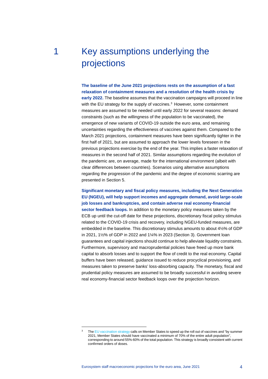# <span id="page-4-0"></span>1 Key assumptions underlying the projections

**The baseline of the June 2021 projections rests on the assumption of a fast relaxation of containment measures and a resolution of the health crisis by early 2022.** The baseline assumes that the vaccination campaigns will proceed in line with the EU strategy for the supply of vaccines.<sup>[3](#page-4-1)</sup> However, some containment measures are assumed to be needed until early 2022 for several reasons: demand constraints (such as the willingness of the population to be vaccinated), the emergence of new variants of COVID-19 outside the euro area, and remaining uncertainties regarding the effectiveness of vaccines against them. Compared to the March 2021 projections, containment measures have been significantly tighter in the first half of 2021, but are assumed to approach the lower levels foreseen in the previous projections exercise by the end of the year. This implies a faster relaxation of measures in the second half of 2021. Similar assumptions regarding the evolution of the pandemic are, on average, made for the international environment (albeit with clear differences between countries). Scenarios using alternative assumptions regarding the progression of the pandemic and the degree of economic scarring are presented in Section 5.

**Significant monetary and fiscal policy measures, including the Next Generation EU (NGEU), will help support incomes and aggregate demand, avoid large-scale job losses and bankruptcies, and contain adverse real economy-financial sector feedback loops.** In addition to the monetary policy measures taken by the ECB up until the cut-off date for these projections, discretionary fiscal policy stimulus related to the COVID-19 crisis and recovery, including NGEU-funded measures, are embedded in the baseline. This discretionary stimulus amounts to about 4½% of GDP in 2021, 1½% of GDP in 2022 and 1¼% in 2023 (Section 3). Government loan guarantees and capital injections should continue to help alleviate liquidity constraints. Furthermore, supervisory and macroprudential policies have freed up more bank capital to absorb losses and to support the flow of credit to the real economy. Capital buffers have been released, guidance issued to reduce procyclical provisioning, and measures taken to preserve banks' loss-absorbing capacity. The monetary, fiscal and prudential policy measures are assumed to be broadly successful in avoiding severe real economy-financial sector feedback loops over the projection horizon.

<span id="page-4-1"></span>Th[e EU vaccination strategy](https://ec.europa.eu/info/live-work-travel-eu/coronavirus-response/public-health/eu-vaccines-strategy_en) calls on Member States to speed up the roll out of vaccines and "by summer 2021, Member States should have vaccinated a minimum of 70% of the entire adult population", corresponding to around 55%-60% of the total population. This strategy is broadly consistent with current confirmed orders of doses.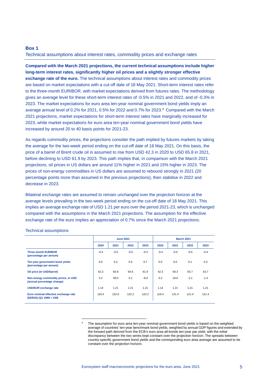## <span id="page-5-0"></span>**Box 1**

Technical assumptions about interest rates, commodity prices and exchange rates

**Compared with the March 2021 projections, the current technical assumptions include higher long-term interest rates, significantly higher oil prices and a slightly stronger effective exchange rate of the euro.** The technical assumptions about interest rates and commodity prices are based on market expectations with a cut-off date of 18 May 2021. Short-term interest rates refer to the three-month EURIBOR, with market expectations derived from futures rates. The methodology gives an average level for these short-term interest rates of -0.5% in 2021 and 2022, and of -0.3% in 2023. The market expectations for euro area ten-year nominal government bond yields imply an average annual level of 0.2% for 2021, 0.5% for 2022 and 0.7% for 2023. [4](#page-5-1) Compared with the March 2021 projections, market expectations for short-term interest rates have marginally increased for 2023, while market expectations for euro area ten-year nominal government bond yields have increased by around 20 to 40 basis points for 2021-23.

As regards commodity prices, the projections consider the path implied by futures markets by taking the average for the two-week period ending on the cut-off date of 18 May 2021. On this basis, the price of a barrel of Brent crude oil is assumed to rise from USD 42.3 in 2020 to USD 65.8 in 2021, before declining to USD 61.9 by 2023. This path implies that, in comparison with the March 2021 projections, oil prices in US dollars are around 11% higher in 2021 and 15% higher in 2023. The prices of non-energy commodities in US dollars are assumed to rebound strongly in 2021 (20 percentage points more than assumed in the previous projections), then stabilise in 2022 and decrease in 2023.

Bilateral exchange rates are assumed to remain unchanged over the projection horizon at the average levels prevailing in the two-week period ending on the cut-off date of 18 May 2021. This implies an average exchange rate of USD 1.21 per euro over the period 2021-23, which is unchanged compared with the assumptions in the March 2021 projections. The assumption for the effective exchange rate of the euro implies an appreciation of 0.7% since the March 2021 projections.

#### Technical assumptions

|                                                                   |        | <b>June 2021</b> |        |        | <b>March 2021</b> |        |        |        |  |
|-------------------------------------------------------------------|--------|------------------|--------|--------|-------------------|--------|--------|--------|--|
|                                                                   | 2020   | 2021             | 2022   | 2023   | 2020              | 2021   | 2022   | 2023   |  |
| <b>Three-month EURIBOR</b><br>(percentage per annum)              | $-0.4$ | $-0.5$           | $-0.5$ | $-0.3$ | $-0.4$            | $-0.5$ | $-0.5$ | $-0.4$ |  |
| Ten-year government bond yields<br>(percentage per annum)         | 0.0    | 0.2              | 0.5    | 0.7    | 0.0               | 0.0    | 0.1    | 0.3    |  |
| Oil price (in USD/barrel)                                         | 42.3   | 65.8             | 64.6   | 61.9   | 42.3              | 59.3   | 55.7   | 53.7   |  |
| Non-energy commodity prices, in USD<br>(annual percentage change) | 3.2    | 39.0             | 0.1    | $-8.0$ | 3.2               | 19.0   | $-2.1$ | $-1.4$ |  |
| <b>USD/EUR</b> exchange rate                                      | 1.14   | 1.21             | 1.21   | 1.21   | 1.14              | 1.21   | 1.21   | 1.21   |  |
| Euro nominal effective exchange rate<br>$(EER42) (Q1 1999 = 100)$ | 119.4  | 122.0            | 122.2  | 122.2  | 119.4             | 121.4  | 121.4  | 121.4  |  |

<span id="page-5-1"></span>The assumption for euro area ten-year nominal government bond yields is based on the weighted average of countries' ten-year benchmark bond yields, weighted by annual GDP figures and extended by the forward path derived from the ECB's euro area all-bonds ten-year par yield, with the initial discrepancy between the two series kept constant over the projection horizon. The spreads between country-specific government bond yields and the corresponding euro area average are assumed to be constant over the projection horizon.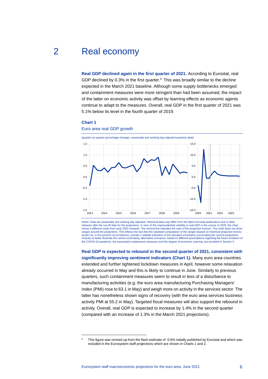## 2 Real economy

<span id="page-6-0"></span>**Real GDP declined again in the first quarter of 2021.** According to Eurostat, real GDP declined by 0.3% in the first quarter.<sup>[5](#page-6-1)</sup> This was broadly similar to the decline expected in the March 2021 baseline. Although some supply bottlenecks emerged and containment measures were more stringent than had been assumed, the impact of the latter on economic activity was offset by learning effects as economic agents continue to adapt to the measures. Overall, real GDP in the first quarter of 2021 was 5.1% below its level in the fourth quarter of 2019.

#### **Chart 1**

#### Euro area real GDP growth

(quarter-on-quarter percentage changes, seasonally and working day-adjusted quarterly data)



Notes: Data are seasonally and working day adjusted. Historical data may differ from the latest Eurostat publications due to data releases after the cut-off date for the projections. In view of the unprecedented volatility in real GDP in the course of 2020, the chart<br>shows a different scale from early 2020 onwards. The vertical line indicates the sta ranges around the projections. This reflects the fact that the standard computation of the ranges (based on historical projection errors) would not, in the present circumstances, provide a reliable indication of the elevated uncertainty surrounding the current projections. Instead, to better illustrate the current uncertainty, alternative scenarios, based on different assumptions regarding the future evolution of the COVID-19 pandemic, the associated containment measures and the degree of economic scarring, are provided in Section 5.

**Real GDP is expected to rebound in the second quarter of 2021, consistent with significantly improving sentiment indicators (Chart 1).** Many euro area countries extended and further tightened lockdown measures in April, however some relaxation already occurred in May and this is likely to continue in June. Similarly to previous quarters, such containment measures seem to result in less of a disturbance to manufacturing activities (e.g. the euro area manufacturing Purchasing Managers' Index (PMI) rose to 63.1 in May) and weigh more on activity in the services sector. The latter has nonetheless shown signs of recovery (with the euro area services business activity PMI at 55.2 in May). Targeted fiscal measures will also support the rebound in activity. Overall, real GDP is expected to increase by 1.4% in the second quarter (compared with an increase of 1.3% in the March 2021 projections).

<span id="page-6-1"></span><sup>&</sup>lt;sup>5</sup> This figure was revised up from the flash estimate of -0.6% initially published by Eurostat and which was included in the Eurosystem staff projections which are shown in Charts 1 and 2.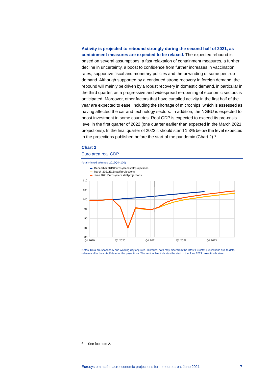## **Activity is projected to rebound strongly during the second half of 2021, as containment measures are expected to be relaxed.** The expected rebound is based on several assumptions: a fast relaxation of containment measures, a further decline in uncertainty, a boost to confidence from further increases in vaccination rates, supportive fiscal and monetary policies and the unwinding of some pent-up demand. Although supported by a continued strong recovery in foreign demand, the rebound will mainly be driven by a robust recovery in domestic demand, in particular in the third quarter, as a progressive and widespread re-opening of economic sectors is anticipated. Moreover, other factors that have curtailed activity in the first half of the year are expected to ease, including the shortage of microchips, which is assessed as having affected the car and technology sectors. In addition, the NGEU is expected to boost investment in some countries. Real GDP is expected to exceed its pre-crisis level in the first quarter of 2022 (one quarter earlier than expected in the March 2021 projections). In the final quarter of 2022 it should stand 1.3% below the level expected in the projections published before the start of the pandemic (Chart 2).<sup>[6](#page-7-0)</sup>

## **Chart 2**

#### Euro area real GDP



Notes: Data are seasonally and working day adjusted. Historical data may differ from the latest Eurostat publications due to data releases after the cut-off date for the projections. The vertical line indicates the start of the June 2021 projection horizon.

<span id="page-7-0"></span><sup>6</sup> See footnote 2.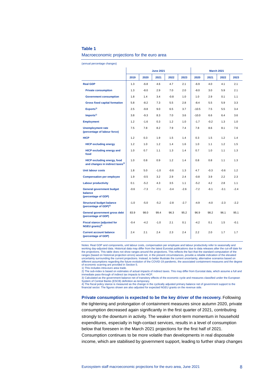## **Table 1**

#### Macroeconomic projections for the euro area

(annual percentage changes)

|                                                                                   | <b>June 2021</b> |        |        |        |        |         | <b>March 2021</b> |        |        |  |  |
|-----------------------------------------------------------------------------------|------------------|--------|--------|--------|--------|---------|-------------------|--------|--------|--|--|
|                                                                                   | 2019             | 2020   | 2021   | 2022   | 2023   | 2020    | 2021              | 2022   | 2023   |  |  |
| <b>Real GDP</b>                                                                   | 1.3              | $-6.8$ | 4.6    | 4.7    | 2.1    | $-6.9$  | 4.0               | 4.1    | 2.1    |  |  |
| <b>Private consumption</b>                                                        | 1.3              | $-8.0$ | 2.9    | 7.0    | 2.0    | $-8.0$  | 3.0               | 5.9    | 2.1    |  |  |
| <b>Government consumption</b>                                                     | 1.8              | 1.4    | 3.4    | $-0.8$ | 1.0    | 1.0     | 2.9               | 0.1    | 1.1    |  |  |
| <b>Gross fixed capital formation</b>                                              | 5.8              | $-8.2$ | 7.3    | 5.5    | 2.8    | $-8.4$  | 5.5               | 5.9    | 3.3    |  |  |
| Exports <sup>1)</sup>                                                             | 2.5              | $-9.8$ | 9.0    | 6.5    | 3.7    | $-10.5$ | 7.5               | 5.5    | 3.4    |  |  |
| Imports <sup>1</sup>                                                              | 3.8              | $-9.3$ | 8.3    | 7.0    | 3.6    | $-10.0$ | 6.6               | 6.4    | 3.6    |  |  |
| <b>Employment</b>                                                                 | 1.2              | $-1.6$ | 0.3    | 1.2    | 1.0    | $-1.7$  | $-0.2$            | 1.3    | 1.0    |  |  |
| <b>Unemployment rate</b><br>(percentage of labour force)                          | 7.5              | 7.8    | 8.2    | 7.9    | 7.4    | 7.8     | 8.6               | 8.1    | 7.6    |  |  |
| <b>HICP</b>                                                                       | 1.2              | 0.3    | 1.9    | 1.5    | 1.4    | 0.3     | 1.5               | 1.2    | 1.4    |  |  |
| <b>HICP excluding energy</b>                                                      | 1.2              | 1.0    | 1.2    | 1.4    | 1.6    | 1.0     | 1.1               | 1.2    | 1.5    |  |  |
| <b>HICP excluding energy and</b><br>food                                          | 1.0              | 0.7    | 1.1    | 1.3    | 1.4    | 0.7     | 1.0               | 1.1    | 1.3    |  |  |
| <b>HICP excluding energy, food</b><br>and changes in indirect taxes <sup>2)</sup> | 1.0              | 0.8    | 0.9    | 1.2    | 1.4    | 0.8     | 0.8               | 1.1    | 1.3    |  |  |
| Unit labour costs                                                                 | 1.8              | 5.0    | $-1.0$ | $-0.6$ | 1.3    | 4.7     | $-0.3$            | $-0.6$ | 1.2    |  |  |
| <b>Compensation per employee</b>                                                  | 1.9              | $-0.5$ | 3.2    | 2.9    | 2.4    | $-0.8$  | 3.9               | 2.2    | 2.3    |  |  |
| <b>Labour productivity</b>                                                        | 0.1              | $-5.2$ | 4.3    | 3.5    | 1.1    | $-5.2$  | 4.2               | 2.8    | 1.1    |  |  |
| <b>General government budget</b><br>balance<br>(percentage of GDP)                | $-0.6$           | $-7.3$ | $-7.1$ | $-3.4$ | $-2.6$ | $-7.2$  | $-6.1$            | $-3.1$ | $-2.4$ |  |  |
| <b>Structural budget balance</b><br>(percentage of GDP) <sup>3)</sup>             | $-1.0$           | $-5.0$ | $-5.2$ | $-2.8$ | $-2.7$ | $-4.9$  | $-4.0$            | $-2.3$ | $-2.2$ |  |  |
| General government gross debt<br>(percentage of GDP)                              | 83.9             | 98.0   | 99.4   | 96.3   | 95.2   | 96.9    | 98.2              | 96.1   | 95.1   |  |  |
| <b>Fiscal stance (adjusted for</b><br>$NGEU$ grants) <sup>4)</sup>                | $-0.4$           | $-4.2$ | $-1.0$ | 2.1    | 0.1    | $-4.2$  | 0.1               | 1.5    | $-0.1$ |  |  |
| <b>Current account balance</b><br>(percentage of GDP)                             | 2.4              | 2.1    | 2.4    | 2.3    | 2.4    | 2.2     | 2.0               | 1.7    | 1.7    |  |  |

Notes: Real GDP and components, unit labour costs, compensation per employee and labour productivity refer to seasonally and working day-adjusted data. Historical data may differ from the latest Eurostat publications due to data releases after the cut-off date for the projections. This table does not show ranges around the projections. This reflects the fact that the standard computation of the ranges (based on historical projection errors) would not, in the present circumstances, provide a reliable indication of the elevated uncertainty surrounding the current projections. Instead, to better illustrate the current uncertainty, alternative scenarios based on different assumptions regarding the future evolution of the COVID-19 pandemic, the associated containment measures and the degree of economic scarring are provided in Section 5.

1) This includes intra-euro area trade.

2) The sub-index is based on estimates of actual impacts of indirect taxes. This may differ from Eurostat data, which assume a full and immediate pass-through of indirect tax impacts to the HICP.

3) Calculated as the government balance net of transitory effects of the economic cycle and measures classified under the European System of Central Banks (ESCB) definition as temporary. 4) The fiscal policy stance is measured as the change in the cyclically adjusted primary balance net of government support to the

financial sector. The figures shown are also adjusted for expected NGEU grants on the revenue side.

**Private consumption is expected to be the key driver of the recovery.** Following the tightening and prolongation of containment measures since autumn 2020, private consumption decreased again significantly in the first quarter of 2021, contributing strongly to the downturn in activity. The weaker short-term momentum in household expenditures, especially in high-contact services, results in a level of consumption below that foreseen in the March 2021 projections for the first half of 2021. Consumption continues to be more volatile than developments in real disposable income, which are stabilised by government support, leading to further sharp changes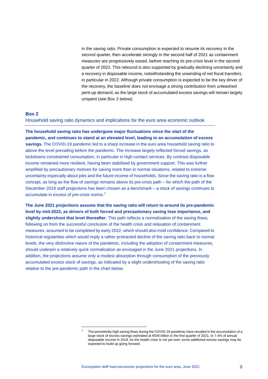in the saving ratio. Private consumption is expected to resume its recovery in the second quarter, then accelerate strongly in the second half of 2021 as containment measures are progressively eased, before reaching its pre-crisis level in the second quarter of 2022. This rebound is also supported by gradually declining uncertainty and a recovery in disposable income, notwithstanding the unwinding of net fiscal transfers, in particular in 2022. Although private consumption is expected to be the key driver of the recovery, the baseline does not envisage a strong contribution from unleashed pent-up demand, as the large stock of accumulated excess savings will remain largely unspent (see Box 2 below).

## <span id="page-9-0"></span>**Box 2**

Household saving ratio dynamics and implications for the euro area economic outlook

**The household saving ratio has undergone major fluctuations since the start of the pandemic, and continues to stand at an elevated level, leading to an accumulation of excess savings.** The COVID-19 pandemic led to a sharp increase in the euro area household saving ratio to above the level prevailing before the pandemic. The increase largely reflected forced savings, as lockdowns constrained consumption, in particular in high-contact services. By contrast disposable income remained more resilient, having been stabilised by government support. This was further amplified by precautionary motives for saving more than in normal situations, related to extreme uncertainty especially about jobs and the future income of households. Since the saving ratio is a flow concept, as long as the flow of savings remains above its pre-crisis path – for which the path of the December 2019 staff projections has been chosen as a benchmark – a stock of savings continues to accumulate in excess of pre-crisis norms. [7](#page-9-1)

**The June 2021 projections assume that the saving ratio will return to around its pre-pandemic level by mid-2022, as drivers of both forced and precautionary saving lose importance, and slightly undershoot that level thereafter**. This path reflects a normalisation of the saving flows, following on from the successful conclusion of the health crisis and relaxation of containment measures, assumed to be completed by early 2022, which should also instil confidence. Compared to historical regularities which would imply a rather protracted decline of the saving ratio back to normal levels, the very distinctive nature of the pandemic, including the adoption of containment measures, should underpin a relatively quick normalisation as envisaged in the June 2021 projections. In addition, the projections assume only a modest absorption through consumption of the previously accumulated excess stock of savings, as indicated by a slight undershooting of the saving ratio relative to the pre-pandemic path in the chart below.

<span id="page-9-1"></span>The persistently high saving flows during the COVID-19 pandemic have resulted in the accumulation of a large stock of excess savings estimated at €540 billion in the first quarter of 2021, or 7.4% of annual disposable income in 2019. As the health crisis is not yet over, some additional excess savings may be expected to build up going forward.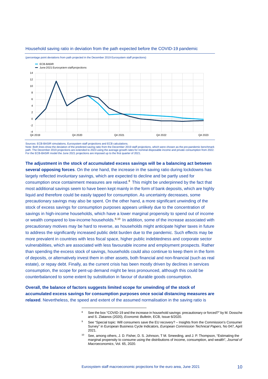

### Household saving ratio in deviation from the path expected before the COVID-19 pandemic

(percentage point deviations from path projected in the December 2019 Eurosystem staff projections)

Sources: ECB-BASIR simulations, Eurosystem staff projections and ECB calculations.

Note: Both lines show the deviation of the predicted saving ratio from the December 2019 staff projections, which were chosen as the pre-pandemic benchmark path. The December 2019 projections are extended to 2023 using the average growth rates for nominal disposable income and private consumption from 2022.<br>For the ECB-BASIR model the June 2021 projections are imposed up to t

**The adjustment in the stock of accumulated excess savings will be a balancing act between several opposing forces**. On the one hand, the increase in the saving ratio during lockdowns has largely reflected involuntary savings, which are expected to decline and be partly used for consumption once containment measures are relaxed.[8](#page-10-0) This might be underpinned by the fact that most additional savings seem to have been kept mainly in the form of bank deposits, which are highly liquid and therefore could be easily tapped for consumption. As uncertainty decreases, some precautionary savings may also be spent. On the other hand, a more significant unwinding of the stock of excess savings for consumption purposes appears unlikely due to the concentration of savings in high-income households, which have a lower marginal propensity to spend out of income or wealth compared to low-income households.<sup>[9,](#page-10-1)[10](#page-10-2)</sup> In addition, some of the increase associated with precautionary motives may be hard to reverse, as households might anticipate higher taxes in future to address the significantly increased public debt burden due to the pandemic. Such effects may be more prevalent in countries with less fiscal space, higher public indebtedness and corporate sector vulnerabilities, which are associated with less favourable income and employment prospects. Rather than spending the excess stock of savings, households could also continue to keep them in the form of deposits, or alternatively invest them in other assets, both financial and non-financial (such as real estate), or repay debt. Finally, as the current crisis has been mostly driven by declines in services consumption, the scope for pent-up demand might be less pronounced, although this could be counterbalanced to some extent by substitution in favour of durable goods consumption.

<span id="page-10-2"></span><span id="page-10-1"></span><span id="page-10-0"></span>**Overall, the balance of factors suggests limited scope for unwinding of the stock of accumulated excess savings for consumption purposes once social distancing measures are relaxed**. Nevertheless, the speed and extent of the assumed normalisation in the saving ratio is

See the box "COVID-19 and the increase in household savings: precautionary or forced?" by M. Dossche and S. Zlatanos (2020), *Economic Bulletin*, ECB, Issue 6/2020.

See "Special topic: Will consumers save the EU recovery? – Insights from the Commission's Consumer Survey" in European Business Cycle Indicators, *European Commission Technical Papers,* No 047, April 2021.

<sup>10</sup> See, among others, J. D. Fisher, D. S. Johnson, T M. Smeeding, and J. P. Thompson, "Estimating the marginal propensity to consume using the distributions of income, consumption, and wealth", *Journal of Macroeconomics*, Vol. 65, 2020.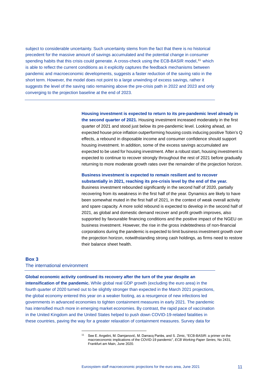subject to considerable uncertainty. Such uncertainty stems from the fact that there is no historical precedent for the massive amount of savings accumulated and the potential change in consumer spending habits that this crisis could generate. A cross-check using the ECB-BASIR model,<sup>[11](#page-11-1)</sup> which is able to reflect the current conditions as it explicitly captures the feedback mechanisms between pandemic and macroeconomic developments, suggests a faster reduction of the saving ratio in the short term. However, the model does not point to a large unwinding of excess savings, rather it suggests the level of the saving ratio remaining above the pre-crisis path in 2022 and 2023 and only converging to the projection baseline at the end of 2023.

> **Housing investment is expected to return to its pre-pandemic level already in the second quarter of 2021.** Housing investment increased moderately in the first quarter of 2021 and stood just below its pre-pandemic level. Looking ahead, an expected house price inflation outperforming housing costs inducing positive Tobin's Q effects, a rebound in disposable income and consumer confidence should support housing investment. In addition, some of the excess savings accumulated are expected to be used for housing investment. After a robust start, housing investment is expected to continue to recover strongly throughout the rest of 2021 before gradually returning to more moderate growth rates over the remainder of the projection horizon.

## **Business investment is expected to remain resilient and to recover substantially in 2021, reaching its pre-crisis level by the end of the year.**

Business investment rebounded significantly in the second half of 2020, partially recovering from its weakness in the first half of the year. Dynamics are likely to have been somewhat muted in the first half of 2021, in the context of weak overall activity and spare capacity. A more solid rebound is expected to develop in the second half of 2021, as global and domestic demand recover and profit growth improves, also supported by favourable financing conditions and the positive impact of the NGEU on business investment. However, the rise in the gross indebtedness of non-financial corporations during the pandemic is expected to limit business investment growth over the projection horizon, notwithstanding strong cash holdings, as firms need to restore their balance sheet health.

## <span id="page-11-0"></span>**Box 3**

The international environment

**Global economic activity continued its recovery after the turn of the year despite an** 

<span id="page-11-1"></span>**intensification of the pandemic.** While global real GDP growth (excluding the euro area) in the fourth quarter of 2020 turned out to be slightly stronger than expected in the March 2021 projections, the global economy entered this year on a weaker footing, as a resurgence of new infections led governments in advanced economies to tighten containment measures in early 2021. The pandemic has intensified much more in emerging market economies. By contrast, the rapid pace of vaccination in the United Kingdom and the United States helped to push down COVID-19-related fatalities in these countries, paving the way for a greater relaxation of containment measures. Survey data for

<sup>11</sup> See E. Angelini, M. Damjanović, M. Darracq Pariès, and S. Zimic, "ECB-BASIR: a primer on the macroeconomic implications of the COVID-19 pandemic", *ECB Working Paper Series,* No 2431, Frankfurt am Main, June 2020.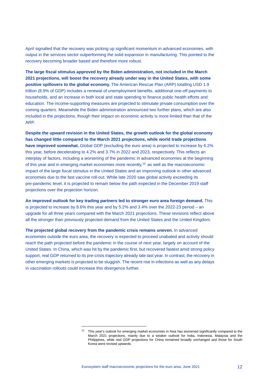April signalled that the recovery was picking up significant momentum in advanced economies, with output in the services sector outperforming the solid expansion in manufacturing. This pointed to the recovery becoming broader based and therefore more robust.

**The large fiscal stimulus approved by the Biden administration, not included in the March 2021 projections, will boost the recovery already under way in the United States, with some positive spillovers to the global economy.** The American Rescue Plan (ARP) totalling USD 1.9 trillion (8.9% of GDP) includes a renewal of unemployment benefits, additional one-off payments to households, and an increase in both local and state spending to finance public health efforts and education. The income-supporting measures are projected to stimulate private consumption over the coming quarters. Meanwhile the Biden administration announced two further plans, which are also included in the projections, though their impact on economic activity is more limited than that of the ARP.

**Despite the upward revision in the United States, the growth outlook for the global economy has changed little compared to the March 2021 projections, while world trade projections have improved somewhat.** Global GDP (excluding the euro area) is projected to increase by 6.2% this year, before decelerating to 4.2% and 3.7% in 2022 and 2023, respectively. This reflects an interplay of factors, including a worsening of the pandemic in advanced economies at the beginning of this year and in emerging market economies more recently,<sup>[12](#page-12-0)</sup> as well as the macroeconomic impact of the large fiscal stimulus in the United States and an improving outlook in other advanced economies due to the fast vaccine roll-out. While late 2020 saw global activity exceeding its pre-pandemic level, it is projected to remain below the path expected in the December 2019 staff projections over the projection horizon.

**An improved outlook for key trading partners led to stronger euro area foreign demand.** This is projected to increase by 8.6% this year and by 5.2% and 3.4% over the 2022-23 period – an upgrade for all three years compared with the March 2021 projections. These revisions reflect above all the stronger than previously projected demand from the United States and the United Kingdom.

**The projected global recovery from the pandemic crisis remains uneven.** In advanced economies outside the euro area, the recovery is expected to proceed unabated and activity should reach the path projected before the pandemic in the course of next year, largely on account of the United States. In China, which was hit by the pandemic first, but recovered fastest amid strong policy support, real GDP returned to its pre-crisis trajectory already late last year. In contrast, the recovery in other emerging markets is projected to be sluggish. The recent rise in infections as well as any delays in vaccination rollouts could increase this divergence further.

<span id="page-12-0"></span><sup>&</sup>lt;sup>12</sup> This year's outlook for emerging market economies in Asia has worsened significantly compared to the March 2021 projections, mainly due to a weaker outlook for India, Indonesia, Malaysia and the Philippines, while real GDP projections for China remained broadly unchanged and those for South Korea were revised upwards.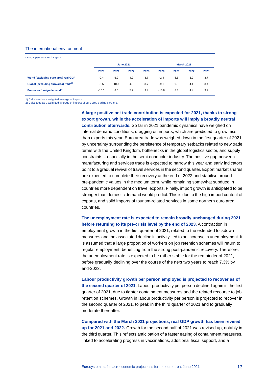### The international environment

(annual percentage changes)

|                                                  |         |      | <b>June 2021</b> |      | <b>March 2021</b> |      |      |      |  |
|--------------------------------------------------|---------|------|------------------|------|-------------------|------|------|------|--|
|                                                  | 2020    | 2021 | 2022             | 2023 | 2020              | 2021 | 2022 | 2023 |  |
| World (excluding euro area) real GDP             | $-2.4$  | 6.2  | 4.2              | 3.7  | $-2.4$            | 6.5  | 3.9  | 3.7  |  |
| Global (excluding euro area) trade <sup>1)</sup> | $-8.5$  | 10.8 | 4.9              | 3.7  | $-9.1$            | 9.0  | 4.1  | 3.4  |  |
| Euro area foreign demand <sup>2)</sup>           | $-10.0$ | 8.6  | 5.2              | 3.4  | $-10.8$           | 8.3  | 4.4  | 3.2  |  |

1) Calculated as a weighted average of imports.

2) Calculated as a weighted average of imports of euro area trading partners.

**A large positive net trade contribution is expected for 2021, thanks to strong export growth, while the acceleration of imports will imply a broadly neutral contribution afterwards.** So far in 2021 pandemic dynamics have weighed on internal demand conditions, dragging on imports, which are predicted to grow less than exports this year. Euro area trade was weighed down in the first quarter of 2021 by uncertainty surrounding the persistence of temporary setbacks related to new trade terms with the United Kingdom, bottlenecks in the global logistics sector, and supply constraints – especially in the semi-conductor industry. The positive gap between manufacturing and services trade is expected to narrow this year and early indicators point to a gradual revival of travel services in the second quarter. Export market shares are expected to complete their recovery at the end of 2022 and stabilise around pre-pandemic values in the medium term, while remaining somewhat subdued in countries more dependent on travel exports. Finally, import growth is anticipated to be stronger than domestic demand would predict. This is due to the high import content of exports, and solid imports of tourism-related services in some northern euro area countries.

**The unemployment rate is expected to remain broadly unchanged during 2021 before returning to its pre-crisis level by the end of 2023.** A contraction in employment growth in the first quarter of 2021, related to the extended lockdown measures and the associated decline in activity, led to an increase in unemployment. It is assumed that a large proportion of workers on job retention schemes will return to regular employment, benefiting from the strong post-pandemic recovery. Therefore, the unemployment rate is expected to be rather stable for the remainder of 2021, before gradually declining over the course of the next two years to reach 7.3% by end-2023.

**Labour productivity growth per person employed is projected to recover as of the second quarter of 2021.** Labour productivity per person declined again in the first quarter of 2021, due to tighter containment measures and the related recourse to job retention schemes. Growth in labour productivity per person is projected to recover in the second quarter of 2021, to peak in the third quarter of 2021 and to gradually moderate thereafter.

**Compared with the March 2021 projections, real GDP growth has been revised up for 2021 and 2022.** Growth for the second half of 2021 was revised up, notably in the third quarter. This reflects anticipation of a faster easing of containment measures, linked to accelerating progress in vaccinations, additional fiscal support, and a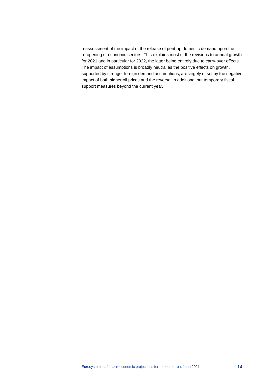reassessment of the impact of the release of pent-up domestic demand upon the re-opening of economic sectors. This explains most of the revisions to annual growth for 2021 and in particular for 2022, the latter being entirely due to carry-over effects. The impact of assumptions is broadly neutral as the positive effects on growth, supported by stronger foreign demand assumptions, are largely offset by the negative impact of both higher oil prices and the reversal in additional but temporary fiscal support measures beyond the current year.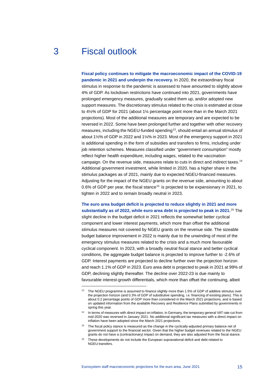## 3 Fiscal outlook

<span id="page-15-0"></span>**Fiscal policy continues to mitigate the macroeconomic impact of the COVID-19 pandemic in 2021 and underpin the recovery.** In 2020, the extraordinary fiscal stimulus in response to the pandemic is assessed to have amounted to slightly above 4% of GDP. As lockdown restrictions have continued into 2021, governments have prolonged emergency measures, gradually scaled them up, and/or adopted new support measures. The discretionary stimulus related to the crisis is estimated at close to 4½% of GDP for 2021 (about 1¼ percentage point more than in the March 2021 projections). Most of the additional measures are temporary and are expected to be reversed in 2022. Some have been prolonged further and together with other recovery measures, including the NGEU-funded spending<sup>13</sup>, should entail an annual stimulus of about 1½% of GDP in 2022 and 1¼% in 2023. Most of the emergency support in 2021 is additional spending in the form of subsidies and transfers to firms, including under job retention schemes. Measures classified under "government consumption" mostly reflect higher health expenditure, including wages, related to the vaccination campaign. On the revenue side, measures relate to cuts in direct and indirect taxes.[14](#page-15-2) Additional government investment, while limited in 2020, has a higher share in the stimulus packages as of 2021, mainly due to expected NGEU-financed measures. Adjusting for the impact of the NGEU grants on the revenue side, amounting to about 0.6% of GDP per year, the fiscal stance<sup>[15](#page-15-3)</sup> is projected to be expansionary in 2021, to tighten in 2022 and to remain broadly neutral in 2023.

**The euro area budget deficit is projected to reduce slightly in 2021 and more substantially as of 2022, while euro area debt is projected to peak in 2021.** [16](#page-15-4) The

slight decline in the budget deficit in 2021 reflects the somewhat better cyclical component and lower interest payments, which more than offset the additional stimulus measures not covered by NGEU grants on the revenue side. The sizeable budget balance improvement in 2022 is mainly due to the unwinding of most of the emergency stimulus measures related to the crisis and a much more favourable cyclical component. In 2023, with a broadly neutral fiscal stance and better cyclical conditions, the aggregate budget balance is projected to improve further to -2.6% of GDP. Interest payments are projected to decline further over the projection horizon and reach 1.1% of GDP in 2023. Euro area debt is projected to peak in 2021 at 99% of GDP, declining slightly thereafter. The decline over 2022-23 is due mainly to favourable interest-growth differentials, which more than offset the continuing, albeit

<span id="page-15-1"></span>The NGEU programme is assumed to finance slightly more than 1.5% of GDP of additive stimulus over the projection horizon (and 0.3% of GDP of substitutive spending, i.e. financing of existing plans). This is about 0.2 percentage points of GDP more than considered in the March 2021 projections, and is based on updated information from the available Recovery and Resilience Plans submitted by governments in spring this year.

<span id="page-15-2"></span><sup>14</sup> In terms of measures with direct impact on inflation, in Germany, the temporary general VAT rate cut from mid-2020 was reversed in January 2021. No additional significant tax measures with a direct impact on inflation have been adopted since the March 2021 projections.

<span id="page-15-3"></span><sup>&</sup>lt;sup>15</sup> The fiscal policy stance is measured as the change in the cyclically-adjusted primary balance net of government support to the financial sector. Given that the higher budget revenues related to the NGEU grants do not have a (contractionary) impact on demand, they are also adjusted from the fiscal stance.

<span id="page-15-4"></span><sup>&</sup>lt;sup>16</sup> These developments do not include the European supranational deficit and debt related to NGEU-transfers.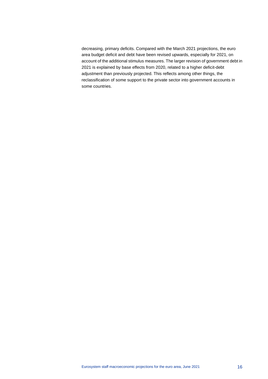decreasing, primary deficits. Compared with the March 2021 projections, the euro area budget deficit and debt have been revised upwards, especially for 2021, on account of the additional stimulus measures. The larger revision of government debt in 2021 is explained by base effects from 2020, related to a higher deficit-debt adjustment than previously projected. This reflects among other things, the reclassification of some support to the private sector into government accounts in some countries.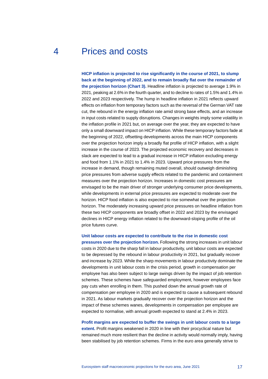## 4 Prices and costs

<span id="page-17-0"></span>**HICP inflation is projected to rise significantly in the course of 2021, to slump back at the beginning of 2022, and to remain broadly flat over the remainder of the projection horizon (Chart 3).** Headline inflation is projected to average 1.9% in 2021, peaking at 2.6% in the fourth quarter, and to decline to rates of 1.5% and 1.4% in 2022 and 2023 respectively. The hump in headline inflation in 2021 reflects upward effects on inflation from temporary factors such as the reversal of the German VAT rate cut, the rebound in the energy inflation rate amid strong base effects, and an increase in input costs related to supply disruptions. Changes in weights imply some volatility in the inflation profile in 2021 but, on average over the year, they are expected to have only a small downward impact on HICP inflation. While these temporary factors fade at the beginning of 2022, offsetting developments across the main HICP components over the projection horizon imply a broadly flat profile of HICP inflation, with a slight increase in the course of 2023. The projected economic recovery and decreases in slack are expected to lead to a gradual increase in HICP inflation excluding energy and food from 1.1% in 2021 to 1.4% in 2023. Upward price pressures from the increase in demand, though remaining muted overall, should outweigh diminishing price pressures from adverse supply effects related to the pandemic and containment measures over the projection horizon. Increases in domestic cost pressures are envisaged to be the main driver of stronger underlying consumer price developments, while developments in external price pressures are expected to moderate over the horizon. HICP food inflation is also expected to rise somewhat over the projection horizon. The moderately increasing upward price pressures on headline inflation from these two HICP components are broadly offset in 2022 and 2023 by the envisaged declines in HICP energy inflation related to the downward-sloping profile of the oil price futures curve.

**Unit labour costs are expected to contribute to the rise in domestic cost pressures over the projection horizon.** Following the strong increases in unit labour costs in 2020 due to the sharp fall in labour productivity, unit labour costs are expected to be depressed by the rebound in labour productivity in 2021, but gradually recover and increase by 2023. While the sharp movements in labour productivity dominate the developments in unit labour costs in the crisis period, growth in compensation per employee has also been subject to large swings driven by the impact of job retention schemes. These schemes have safeguarded employment, however employees face pay cuts when enrolling in them. This pushed down the annual growth rate of compensation per employee in 2020 and is expected to cause a subsequent rebound in 2021. As labour markets gradually recover over the projection horizon and the impact of these schemes wanes, developments in compensation per employee are expected to normalise, with annual growth expected to stand at 2.4% in 2023.

**Profit margins are expected to buffer the swings in unit labour costs to a large** 

**extent.** Profit margins weakened in 2020 in line with their procyclical nature but remained much more resilient than the decline in activity would normally imply, having been stabilised by job retention schemes. Firms in the euro area generally strive to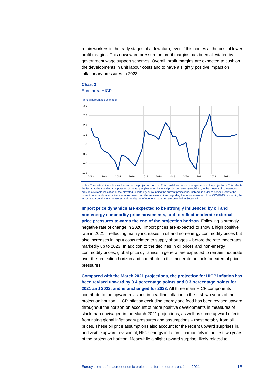retain workers in the early stages of a downturn, even if this comes at the cost of lower profit margins. This downward pressure on profit margins has been alleviated by government wage support schemes. Overall, profit margins are expected to cushion the developments in unit labour costs and to have a slightly positive impact on inflationary pressures in 2023.

## **Chart 3** Euro area HICP



Notes: The vertical line indicates the start of the projection horizon. This chart does not show ranges around the projections. This reflects the fact that the standard computation of the ranges (based on historical projection errors) would not, in the present circumstances, provide a reliable indication of the elevated uncertainty surrounding the current projections. Instead, in order to better illustrate the current uncertainty, alternative scenarios based on different assumptions regarding the future evolution of the COVID-19 pandemic, the associated containment measures and the degree of economic scarring are provided in Section 5.

**Import price dynamics are expected to be strongly influenced by oil and non-energy commodity price movements, and to reflect moderate external price pressures towards the end of the projection horizon.** Following a strongly negative rate of change in 2020, import prices are expected to show a high positive rate in 2021 – reflecting mainly increases in oil and non-energy commodity prices but also increases in input costs related to supply shortages – before the rate moderates markedly up to 2023. In addition to the declines in oil prices and non-energy commodity prices, global price dynamics in general are expected to remain moderate over the projection horizon and contribute to the moderate outlook for external price pressures.

**Compared with the March 2021 projections, the projection for HICP inflation has been revised upward by 0.4 percentage points and 0.3 percentage points for 2021 and 2022, and is unchanged for 2023.** All three main HICP components contribute to the upward revisions in headline inflation in the first two years of the projection horizon. HICP inflation excluding energy and food has been revised upward throughout the horizon on account of more positive developments in measures of slack than envisaged in the March 2021 projections, as well as some upward effects from rising global inflationary pressures and assumptions – most notably from oil prices. These oil price assumptions also account for the recent upward surprises in, and visible upward revision of, HICP energy inflation – particularly in the first two years of the projection horizon. Meanwhile a slight upward surprise, likely related to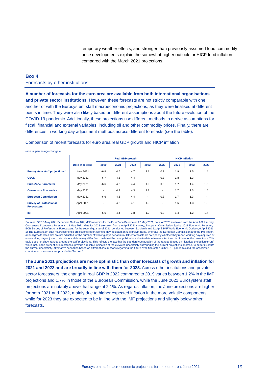temporary weather effects, and stronger than previously assumed food commodity price developments explain the somewhat higher outlook for HICP food inflation compared with the March 2021 projections.

## <span id="page-19-0"></span>**Box 4** Forecasts by other institutions

**Survey of Professional Forecasters** 

**A number of forecasts for the euro area are available from both international organisations and private sector institutions.** However, these forecasts are not strictly comparable with one another or with the Eurosystem staff macroeconomic projections, as they were finalised at different points in time. They were also likely based on different assumptions about the future evolution of the COVID-19 pandemic. Additionally, these projections use different methods to derive assumptions for fiscal, financial and external variables, including oil and other commodity prices. Finally, there are differences in working day adjustment methods across different forecasts (see the table).

| $\sim$                                     |                 |                        |      |      |                          |      |      |                       |      |  |
|--------------------------------------------|-----------------|------------------------|------|------|--------------------------|------|------|-----------------------|------|--|
| (annual percentage changes)                |                 |                        |      |      |                          |      |      |                       |      |  |
|                                            |                 | <b>Real GDP growth</b> |      |      |                          |      |      | <b>HICP inflation</b> |      |  |
|                                            | Date of release | 2020                   | 2021 | 2022 | 2023                     | 2020 | 2021 | 2022                  | 2023 |  |
| Eurosystem staff projections <sup>1)</sup> | June 2021       | $-6.8$                 | 4.6  | 4.7  | 2.1                      | 0.3  | 1.9  | 1.5                   | 1.4  |  |
| <b>OECD</b>                                | May 2021        | $-6.7$                 | 4.3  | 4.4  | $\overline{\phantom{a}}$ | 0.3  | 1.8  | 1.3                   |      |  |
|                                            |                 |                        |      |      |                          |      |      |                       |      |  |

**Euro Zone Barometer | May 2021 | -6.6 4.3 4.4 1.9 | 0.3 1.7 1.4 1.5 Consensus Economics** May 2021 - 4.2 4.3 2.2 - 1.7 1.3 1.5

**IMF** April 2021 -6.6 4.4 3.8 1.9 0.3 1.4 1.2 1.4

April 2021 | - 4.2 4.1 1.9 | - 1.6 1.3 1.5

**European Commission | May 2021 | -6.6 4.3 4.4 - | 0.3 1.7 1.3** 

#### Comparison of recent forecasts for euro area real GDP growth and HICP inflation

Sources: OECD May 2021 Economic Outlook 109; MJEconomics for the Euro Zone Barometer, 20 May 2021, data for 2023 are taken from the April 2021 survey; Consensus Economics Forecasts, 13 May 2021, data for 2023 are taken from the April 2021 survey; European Commission Spring 2021 Economic Forecast;<br>ECB Survey of Professional Forecasters, for the second quarter of 2021, con 1) The Eurosystem staff macroeconomic projections report working day-adjusted annual growth rates, whereas the European Commission and the IMF report annual growth rates that are not adjusted for the number of working days per annum. Other forecasts do not specify whether they report working day-adjusted or non-working day-adjusted data. Historical data may differ from the latest Eurostat publications due to data releases after the cut-off date for the projections. This<br>table does not show ranges around the staff projections. would not, in the present circumstances, provide a reliable indication of the elevated uncertainty surrounding the current projections. Instead, to better illustrate<br>the current uncertainty, alternative scenarios based on containment measures are provided in Section 5.

**The June 2021 projections are more optimistic than other forecasts of growth and inflation for 2021 and 2022 and are broadly in line with them for 2023.** Across other institutions and private sector forecasters, the change in real GDP in 2022 compared to 2019 varies between 1.2% in the IMF projections and 1.7% in those of the European Commission, while the June 2021 Eurosystem staff projections are notably above that range at 2.1%. As regards inflation, the June projections are higher for both 2021 and 2022, mainly due to higher expected inflation in the more volatile components, while for 2023 they are expected to be in line with the IMF projections and slightly below other forecasts.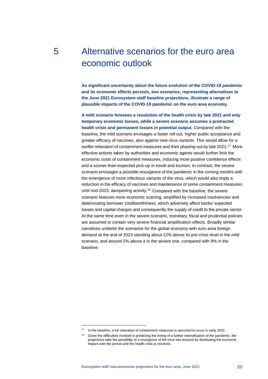# <span id="page-20-0"></span>5 Alternative scenarios for the euro area economic outlook

**As significant uncertainty about the future evolution of the COVID-19 pandemic and its economic effects persists, two scenarios, representing alternatives to the June 2021 Eurosystem staff baseline projections, illustrate a range of plausible impacts of the COVID-19 pandemic on the euro area economy.**

**A mild scenario foresees a resolution of the health crisis by late 2021 and only temporary economic losses, while a severe scenario assumes a protracted health crisis and permanent losses in potential output.** Compared with the baseline, the mild scenario envisages a faster roll-out, higher public acceptance and greater efficacy of vaccines, also against new virus variants. This would allow for a swifter relaxation of containment measures and their phasing-out by late 2021.[17](#page-20-1) More effective actions taken by authorities and economic agents would further limit the economic costs of containment measures, inducing more positive confidence effects and a sooner-than-expected pick-up in travel and tourism. In contrast, the severe scenario envisages a possible resurgence of the pandemic in the coming months with the emergence of more infectious variants of the virus, which would also imply a reduction in the efficacy of vaccines and maintenance of some containment measures until mid-2023, dampening activity. [18](#page-20-2) Compared with the baseline, the severe scenario features more economic scarring, amplified by increased insolvencies and deteriorating borrower creditworthiness, which adversely affect banks' expected losses and capital charges and consequently the supply of credit to the private sector. At the same time even in the severe scenario, monetary, fiscal and prudential policies are assumed to contain very severe financial amplification effects. Broadly similar narratives underlie the scenarios for the global economy with euro area foreign demand at the end of 2023 standing about 12% above its pre-crisis level in the mild scenario, and around 2% above it in the severe one, compared with 9% in the baseline.

<span id="page-20-2"></span><span id="page-20-1"></span><sup>&</sup>lt;sup>17</sup> In the baseline, a full relaxation of containment measures is assumed to occur in early 2022.

<sup>&</sup>lt;sup>18</sup> Given the difficulties involved in predicting the timing of a further intensification of the pandemic, the projections take the possibility of a resurgence of the virus into account by distributing the economic impact over the period until the health crisis is resolved.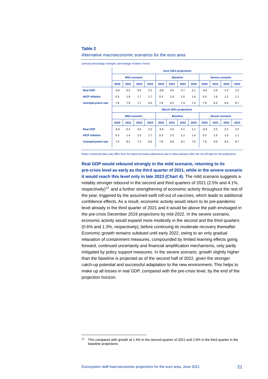### **Table 2**

#### Alternative macroeconomic scenarios for the euro area

(annual percentage changes, percentage of labour force)

|                          | June 2021 projections |      |      |      |                 |      |                               |      |                 |      |      |      |
|--------------------------|-----------------------|------|------|------|-----------------|------|-------------------------------|------|-----------------|------|------|------|
|                          | <b>Mild scenario</b>  |      |      |      | <b>Baseline</b> |      |                               |      | Severe scenario |      |      |      |
|                          | 2020                  | 2021 | 2022 | 2023 | 2020            | 2021 | 2022                          | 2023 | 2020            | 2021 | 2022 | 2023 |
| <b>Real GDP</b>          | $-6.8$                | 6.2  | 5.5  | 2.2  | $-6.8$          | 4.6  | 4.7                           | 2.1  | $-6.8$          | 2.9  | 2.3  | 2.2  |
| <b>HICP</b> inflation    | 0.3                   | 1.9  | 1.7  | 1.7  | 0.3             | 1.9  | 1.5                           | 1.4  | 0.3             | 1.8  | 1.2  | 1.1  |
| <b>Unemployment rate</b> | 7.8                   | 7.9  | 7.1  | 6.6  | 7.8             | 8.2  | 7.9                           | 7.4  | 7.8             | 8.4  | 9.0  | 8.7  |
|                          |                       |      |      |      |                 |      | <b>March 2021 projections</b> |      |                 |      |      |      |
|                          | <b>Mild scenario</b>  |      |      |      | <b>Baseline</b> |      |                               |      | Severe scenario |      |      |      |
|                          | 2020                  | 2021 | 2022 | 2023 | 2020            | 2021 | 2022                          | 2023 | 2020            | 2021 | 2022 | 2023 |
| <b>Real GDP</b>          | $-6.9$                | 6.4  | 4.5  | 2.2  | $-6.9$          | 4.0  | 4.1                           | 2.1  | $-6.9$          | 2.0  | 2.2  | 2.5  |
| <b>HICP</b> inflation    | 0.3                   | 1.6  | 1.5  | 1.7  | 0.3             | 1.5  | 1.2                           | 1.4  | 0.3             | 1.5  | 1.0  | 1.1  |
| <b>Unemployment rate</b> | 7.8                   | 8.2  | 7.2  | 6.6  | 7.8             | 8.6  | 8.1                           | 7.6  | 7.8             | 9.0  | 9.3  | 8.7  |
|                          |                       |      |      |      |                 |      |                               |      |                 |      |      |      |

Notes: Historical data may differ from the latest Eurostat publications due to data releases after the cut-off date for the projections.

**Real GDP would rebound strongly in the mild scenario, returning to its pre-crisis level as early as the third quarter of 2021, while in the severe scenario it would reach this level only in late 2023 (Chart 4).** The mild scenario suggests a notably stronger rebound in the second and third quarters of 2021 (2.5% and 4.1%, respectively)<sup>[19](#page-21-0)</sup> and a further strengthening of economic activity throughout the rest of the year, triggered by the assumed swift roll-out of vaccines, which leads to additional confidence effects. As a result, economic activity would return to its pre-pandemic level already in the third quarter of 2021 and it would be above the path envisaged in the pre-crisis December 2019 projections by mid-2022. In the severe scenario, economic activity would expand more modestly in the second and the third quarters (0.6% and 1.3%, respectively), before continuing its moderate recovery thereafter. Economic growth remains subdued until early 2022, owing to an only gradual relaxation of containment measures, compounded by limited learning effects going forward, continued uncertainty and financial amplification mechanisms, only partly mitigated by policy support measures. In the severe scenario, growth slightly higher than the baseline is projected as of the second half of 2022, given the stronger catch-up potential and successful adaptation to the new environment. This helps to make up all losses in real GDP, compared with the pre-crisis level, by the end of the projection horizon.

<span id="page-21-0"></span><sup>&</sup>lt;sup>19</sup> This compares with growth at 1.4% in the second quarter of 2021 and 2.8% in the third quarter in the baseline projections.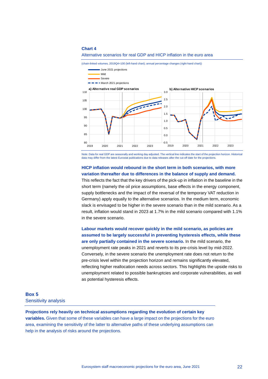#### **Chart 4**

### Alternative scenarios for real GDP and HICP inflation in the euro area

(chain-linked volumes, 2019Q4=100 (left-hand chart); annual percentage changes (right-hand chart))



Note: Data for real GDP are seasonally and working day adjusted. The vertical line indicates the start of the projection horizon. Historical data may differ from the latest Eurostat publications due to data releases after the cut-off date for the projections

## **HICP inflation would rebound in the short term in both scenarios, with more variation thereafter due to differences in the balance of supply and demand.**

This reflects the fact that the key drivers of the pick-up in inflation in the baseline in the short term (namely the oil price assumptions, base effects in the energy component, supply bottlenecks and the impact of the reversal of the temporary VAT reduction in Germany) apply equally to the alternative scenarios. In the medium term, economic slack is envisaged to be higher in the severe scenario than in the mild scenario. As a result, inflation would stand in 2023 at 1.7% in the mild scenario compared with 1.1% in the severe scenario.

**Labour markets would recover quickly in the mild scenario, as policies are assumed to be largely successful in preventing hysteresis effects, while these are only partially contained in the severe scenario.** In the mild scenario, the unemployment rate peaks in 2021 and reverts to its pre-crisis level by mid-2022. Conversely, in the severe scenario the unemployment rate does not return to the pre-crisis level within the projection horizon and remains significantly elevated, reflecting higher reallocation needs across sectors. This highlights the upside risks to unemployment related to possible bankruptcies and corporate vulnerabilities, as well as potential hysteresis effects.

## <span id="page-22-0"></span>**Box 5** Sensitivity analysis

**Projections rely heavily on technical assumptions regarding the evolution of certain key variables.** Given that some of these variables can have a large impact on the projections for the euro area, examining the sensitivity of the latter to alternative paths of these underlying assumptions can help in the analysis of risks around the projections.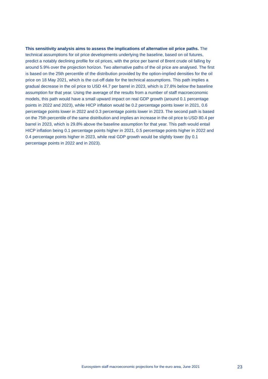## **This sensitivity analysis aims to assess the implications of alternative oil price paths.** The technical assumptions for oil price developments underlying the baseline, based on oil futures, predict a notably declining profile for oil prices, with the price per barrel of Brent crude oil falling by around 5.9% over the projection horizon. Two alternative paths of the oil price are analysed. The first is based on the 25th percentile of the distribution provided by the option-implied densities for the oil price on 18 May 2021, which is the cut-off date for the technical assumptions. This path implies a gradual decrease in the oil price to USD 44.7 per barrel in 2023, which is 27.8% below the baseline assumption for that year. Using the average of the results from a number of staff macroeconomic models, this path would have a small upward impact on real GDP growth (around 0.1 percentage points in 2022 and 2023), while HICP inflation would be 0.2 percentage points lower in 2021, 0.6 percentage points lower in 2022 and 0.3 percentage points lower in 2023. The second path is based on the 75th percentile of the same distribution and implies an increase in the oil price to USD 80.4 per barrel in 2023, which is 29.8% above the baseline assumption for that year. This path would entail HICP inflation being 0.1 percentage points higher in 2021, 0.5 percentage points higher in 2022 and 0.4 percentage points higher in 2023, while real GDP growth would be slightly lower (by 0.1 percentage points in 2022 and in 2023).